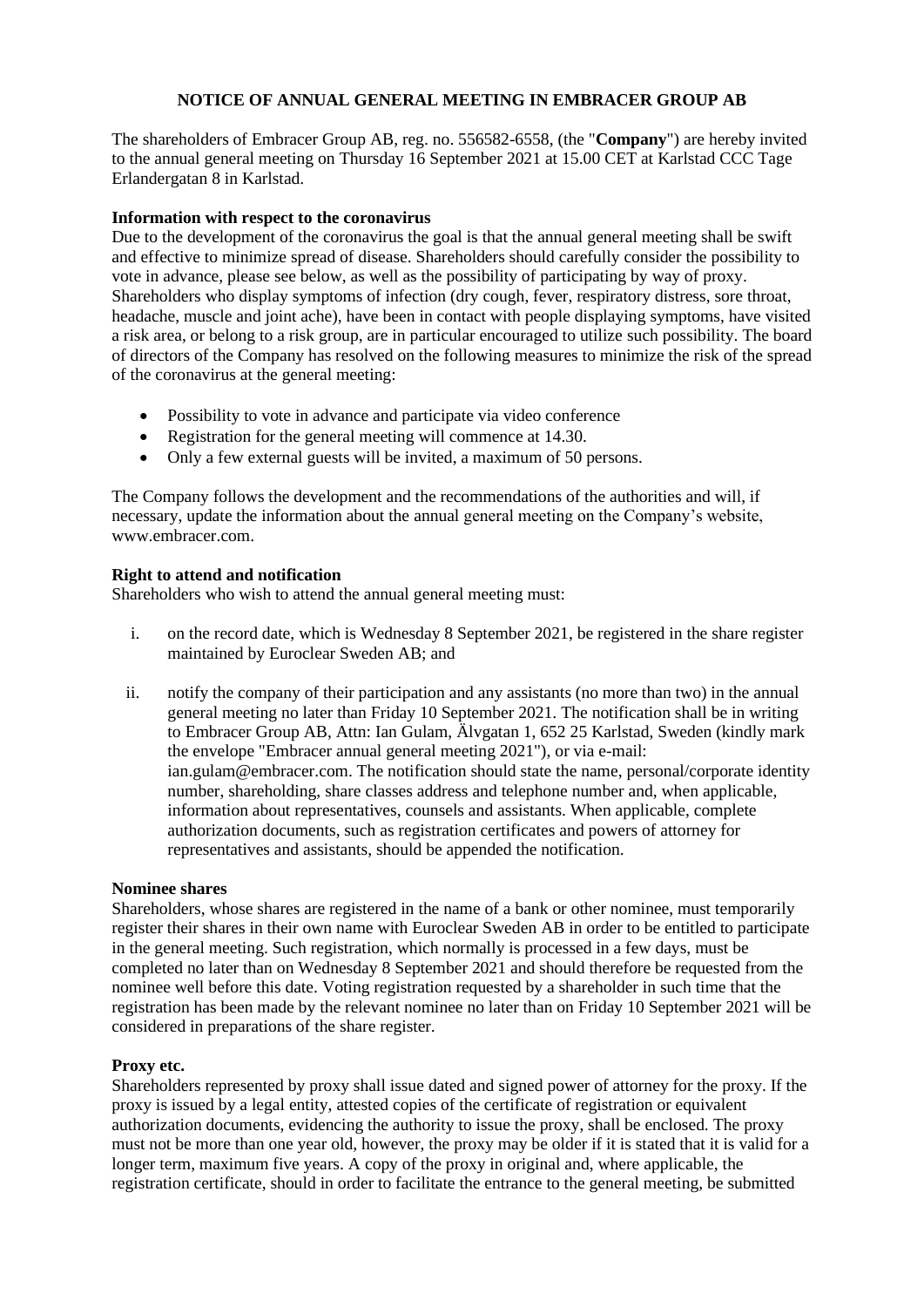# **NOTICE OF ANNUAL GENERAL MEETING IN EMBRACER GROUP AB**

The shareholders of Embracer Group AB, reg. no. 556582-6558, (the "**Company**") are hereby invited to the annual general meeting on Thursday 16 September 2021 at 15.00 CET at Karlstad CCC Tage Erlandergatan 8 in Karlstad.

## **Information with respect to the coronavirus**

Due to the development of the coronavirus the goal is that the annual general meeting shall be swift and effective to minimize spread of disease. Shareholders should carefully consider the possibility to vote in advance, please see below, as well as the possibility of participating by way of proxy. Shareholders who display symptoms of infection (dry cough, fever, respiratory distress, sore throat, headache, muscle and joint ache), have been in contact with people displaying symptoms, have visited a risk area, or belong to a risk group, are in particular encouraged to utilize such possibility. The board of directors of the Company has resolved on the following measures to minimize the risk of the spread of the coronavirus at the general meeting:

- Possibility to vote in advance and participate via video conference
- Registration for the general meeting will commence at 14.30.
- Only a few external guests will be invited, a maximum of 50 persons.

The Company follows the development and the recommendations of the authorities and will, if necessary, update the information about the annual general meeting on the Company's website, www.embracer.com.

### **Right to attend and notification**

Shareholders who wish to attend the annual general meeting must:

- i. on the record date, which is Wednesday 8 September 2021, be registered in the share register maintained by Euroclear Sweden AB; and
- ii. notify the company of their participation and any assistants (no more than two) in the annual general meeting no later than Friday 10 September 2021. The notification shall be in writing to Embracer Group AB, Attn: Ian Gulam, Älvgatan 1, 652 25 Karlstad, Sweden (kindly mark the envelope "Embracer annual general meeting 2021"), or via e-mail: ian.gulam@embracer.com. The notification should state the name, personal/corporate identity number, shareholding, share classes address and telephone number and, when applicable, information about representatives, counsels and assistants. When applicable, complete authorization documents, such as registration certificates and powers of attorney for representatives and assistants, should be appended the notification.

### **Nominee shares**

Shareholders, whose shares are registered in the name of a bank or other nominee, must temporarily register their shares in their own name with Euroclear Sweden AB in order to be entitled to participate in the general meeting. Such registration, which normally is processed in a few days, must be completed no later than on Wednesday 8 September 2021 and should therefore be requested from the nominee well before this date. Voting registration requested by a shareholder in such time that the registration has been made by the relevant nominee no later than on Friday 10 September 2021 will be considered in preparations of the share register.

### **Proxy etc.**

Shareholders represented by proxy shall issue dated and signed power of attorney for the proxy. If the proxy is issued by a legal entity, attested copies of the certificate of registration or equivalent authorization documents, evidencing the authority to issue the proxy, shall be enclosed. The proxy must not be more than one year old, however, the proxy may be older if it is stated that it is valid for a longer term, maximum five years. A copy of the proxy in original and, where applicable, the registration certificate, should in order to facilitate the entrance to the general meeting, be submitted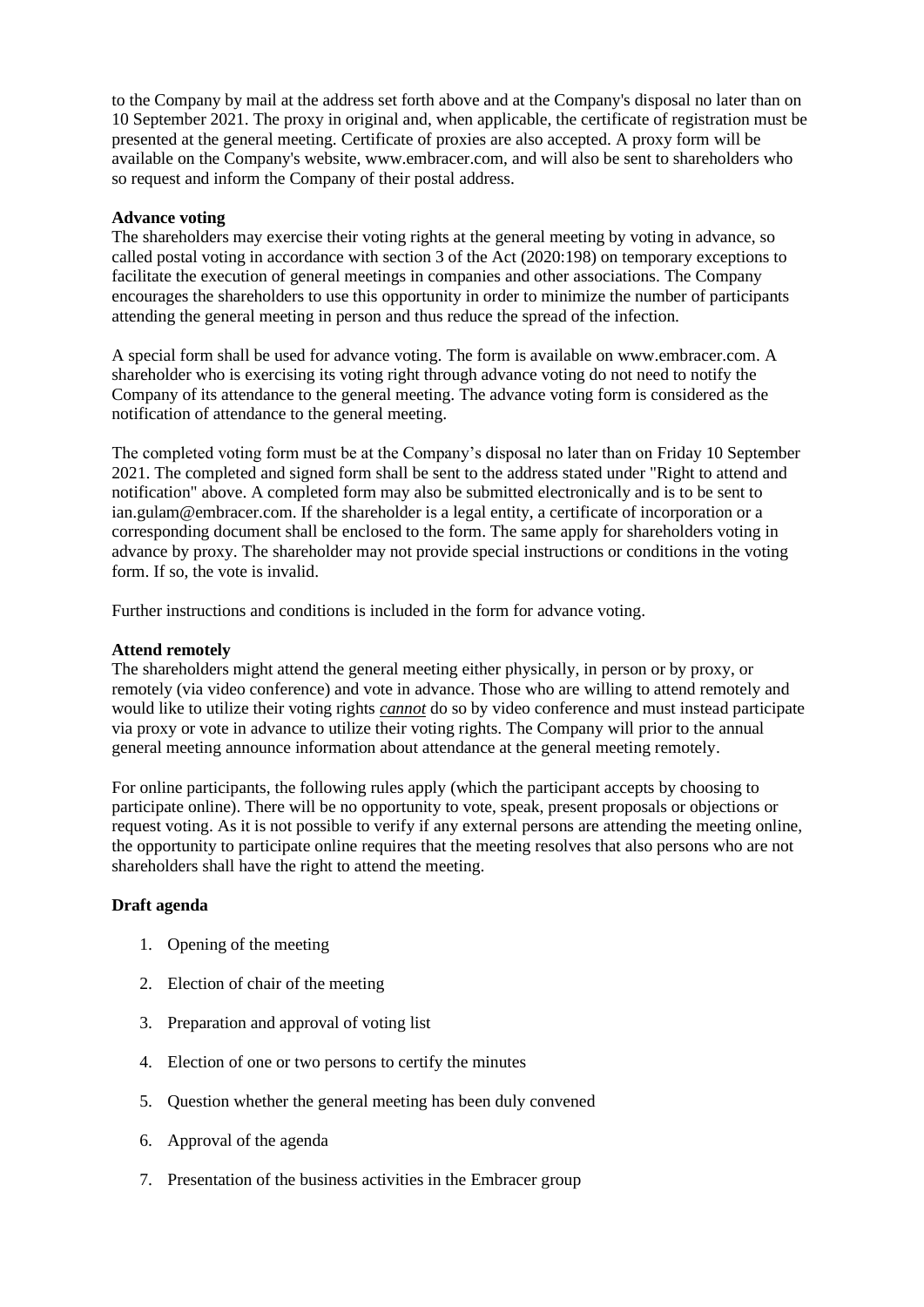to the Company by mail at the address set forth above and at the Company's disposal no later than on 10 September 2021. The proxy in original and, when applicable, the certificate of registration must be presented at the general meeting. Certificate of proxies are also accepted. A proxy form will be available on the Company's website, www.embracer.com, and will also be sent to shareholders who so request and inform the Company of their postal address.

#### **Advance voting**

The shareholders may exercise their voting rights at the general meeting by voting in advance, so called postal voting in accordance with section 3 of the Act (2020:198) on temporary exceptions to facilitate the execution of general meetings in companies and other associations. The Company encourages the shareholders to use this opportunity in order to minimize the number of participants attending the general meeting in person and thus reduce the spread of the infection.

A special form shall be used for advance voting. The form is available on www.embracer.com. A shareholder who is exercising its voting right through advance voting do not need to notify the Company of its attendance to the general meeting. The advance voting form is considered as the notification of attendance to the general meeting.

The completed voting form must be at the Company's disposal no later than on Friday 10 September 2021. The completed and signed form shall be sent to the address stated under "Right to attend and notification" above. A completed form may also be submitted electronically and is to be sent to ian.gulam@embracer.com. If the shareholder is a legal entity, a certificate of incorporation or a corresponding document shall be enclosed to the form. The same apply for shareholders voting in advance by proxy. The shareholder may not provide special instructions or conditions in the voting form. If so, the vote is invalid.

Further instructions and conditions is included in the form for advance voting.

#### **Attend remotely**

The shareholders might attend the general meeting either physically, in person or by proxy, or remotely (via video conference) and vote in advance. Those who are willing to attend remotely and would like to utilize their voting rights *cannot* do so by video conference and must instead participate via proxy or vote in advance to utilize their voting rights. The Company will prior to the annual general meeting announce information about attendance at the general meeting remotely.

For online participants, the following rules apply (which the participant accepts by choosing to participate online). There will be no opportunity to vote, speak, present proposals or objections or request voting. As it is not possible to verify if any external persons are attending the meeting online, the opportunity to participate online requires that the meeting resolves that also persons who are not shareholders shall have the right to attend the meeting.

### **Draft agenda**

- 1. Opening of the meeting
- <span id="page-1-0"></span>2. Election of chair of the meeting
- 3. Preparation and approval of voting list
- 4. Election of one or two persons to certify the minutes
- 5. Question whether the general meeting has been duly convened
- 6. Approval of the agenda
- 7. Presentation of the business activities in the Embracer group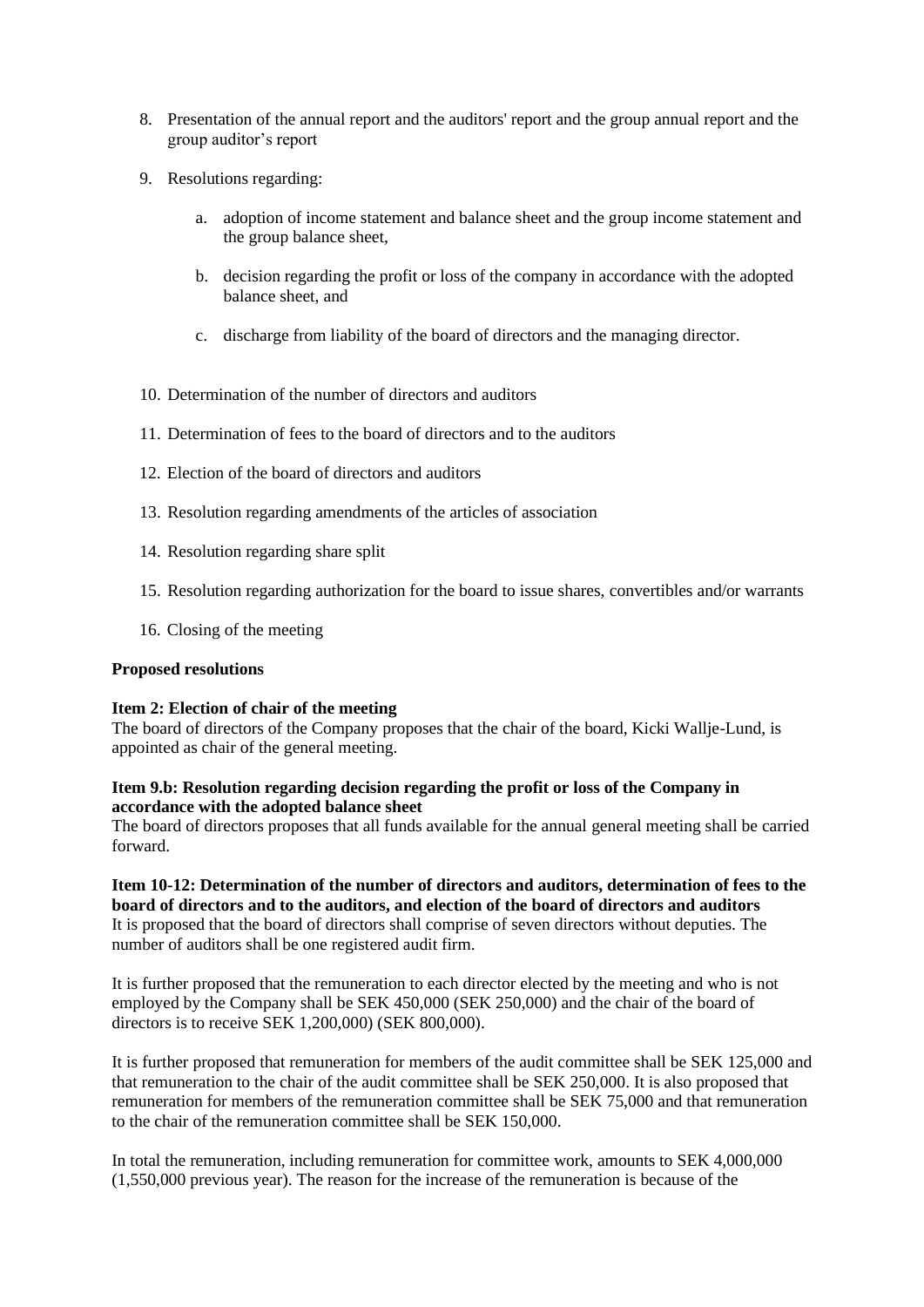- 8. Presentation of the annual report and the auditors' report and the group annual report and the group auditor's report
- <span id="page-2-0"></span>9. Resolutions regarding:
	- a. adoption of income statement and balance sheet and the group income statement and the group balance sheet,
	- b. decision regarding the profit or loss of the company in accordance with the adopted balance sheet, and
	- c. discharge from liability of the board of directors and the managing director.
- <span id="page-2-1"></span>10. Determination of the number of directors and auditors
- 11. Determination of fees to the board of directors and to the auditors
- <span id="page-2-2"></span>12. Election of the board of directors and auditors
- <span id="page-2-3"></span>13. Resolution regarding amendments of the articles of association
- <span id="page-2-4"></span>14. Resolution regarding share split
- <span id="page-2-5"></span>15. Resolution regarding authorization for the board to issue shares, convertibles and/or warrants
- 16. Closing of the meeting

### **Proposed resolutions**

### **Ite[m 2:](#page-1-0) Election of chair of the meeting**

The board of directors of the Company proposes that the chair of the board, Kicki Wallje-Lund, is appointed as chair of the general meeting.

# **Item [9.b:](#page-2-0) Resolution regarding decision regarding the profit or loss of the Company in accordance with the adopted balance sheet**

The board of directors proposes that all funds available for the annual general meeting shall be carried forward.

**Ite[m 10](#page-2-1)[-12:](#page-2-2) Determination of the number of directors and auditors, determination of fees to the board of directors and to the auditors, and election of the board of directors and auditors** It is proposed that the board of directors shall comprise of seven directors without deputies. The number of auditors shall be one registered audit firm.

It is further proposed that the remuneration to each director elected by the meeting and who is not employed by the Company shall be SEK 450,000 (SEK 250,000) and the chair of the board of directors is to receive SEK 1,200,000) (SEK 800,000).

It is further proposed that remuneration for members of the audit committee shall be SEK 125,000 and that remuneration to the chair of the audit committee shall be SEK 250,000. It is also proposed that remuneration for members of the remuneration committee shall be SEK 75,000 and that remuneration to the chair of the remuneration committee shall be SEK 150,000.

In total the remuneration, including remuneration for committee work, amounts to SEK 4,000,000 (1,550,000 previous year). The reason for the increase of the remuneration is because of the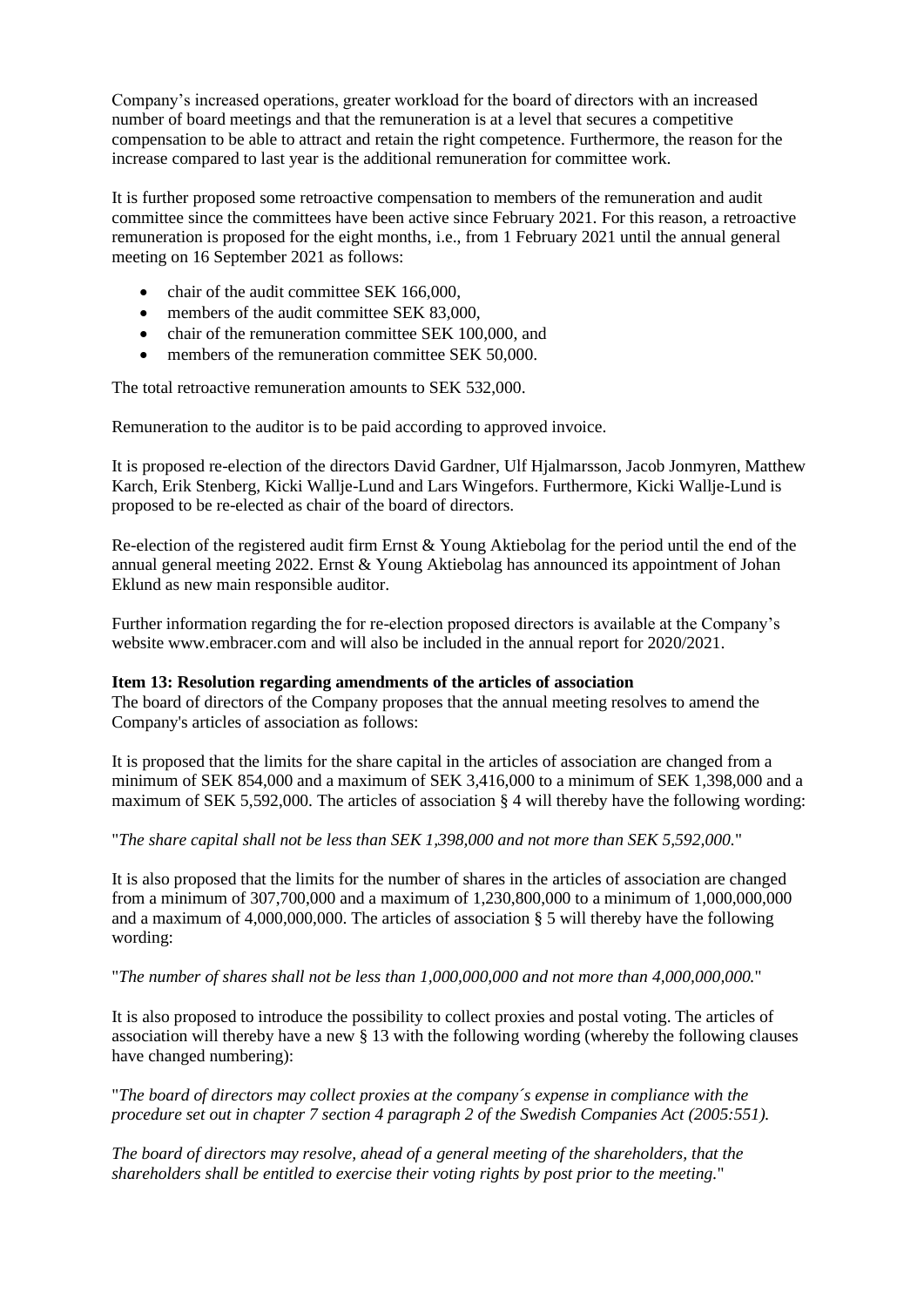Company's increased operations, greater workload for the board of directors with an increased number of board meetings and that the remuneration is at a level that secures a competitive compensation to be able to attract and retain the right competence. Furthermore, the reason for the increase compared to last year is the additional remuneration for committee work.

It is further proposed some retroactive compensation to members of the remuneration and audit committee since the committees have been active since February 2021. For this reason, a retroactive remuneration is proposed for the eight months, i.e., from 1 February 2021 until the annual general meeting on 16 September 2021 as follows:

- chair of the audit committee SEK 166,000,
- members of the audit committee SEK 83,000,
- chair of the remuneration committee SEK 100,000, and
- members of the remuneration committee SEK 50,000.

The total retroactive remuneration amounts to SEK 532,000.

Remuneration to the auditor is to be paid according to approved invoice.

It is proposed re-election of the directors David Gardner, Ulf Hjalmarsson, Jacob Jonmyren, Matthew Karch, Erik Stenberg, Kicki Wallje-Lund and Lars Wingefors. Furthermore, Kicki Wallje-Lund is proposed to be re-elected as chair of the board of directors.

Re-election of the registered audit firm Ernst & Young Aktiebolag for the period until the end of the annual general meeting 2022. Ernst & Young Aktiebolag has announced its appointment of Johan Eklund as new main responsible auditor.

Further information regarding the for re-election proposed directors is available at the Company's website www.embracer.com and will also be included in the annual report for 2020/2021.

### **Ite[m 13:](#page-2-3) Resolution regarding amendments of the articles of association**

The board of directors of the Company proposes that the annual meeting resolves to amend the Company's articles of association as follows:

It is proposed that the limits for the share capital in the articles of association are changed from a minimum of SEK 854,000 and a maximum of SEK 3,416,000 to a minimum of SEK 1,398,000 and a maximum of SEK 5,592,000. The articles of association  $\S$  4 will thereby have the following wording:

"*The share capital shall not be less than SEK 1,398,000 and not more than SEK 5,592,000.*"

It is also proposed that the limits for the number of shares in the articles of association are changed from a minimum of 307,700,000 and a maximum of 1,230,800,000 to a minimum of 1,000,000,000 and a maximum of 4,000,000,000. The articles of association  $\S$  5 will thereby have the following wording:

"*The number of shares shall not be less than 1,000,000,000 and not more than 4,000,000,000.*"

It is also proposed to introduce the possibility to collect proxies and postal voting. The articles of association will thereby have a new § 13 with the following wording (whereby the following clauses have changed numbering):

"*The board of directors may collect proxies at the company´s expense in compliance with the procedure set out in chapter 7 section 4 paragraph 2 of the Swedish Companies Act (2005:551).*

*The board of directors may resolve, ahead of a general meeting of the shareholders, that the shareholders shall be entitled to exercise their voting rights by post prior to the meeting.*"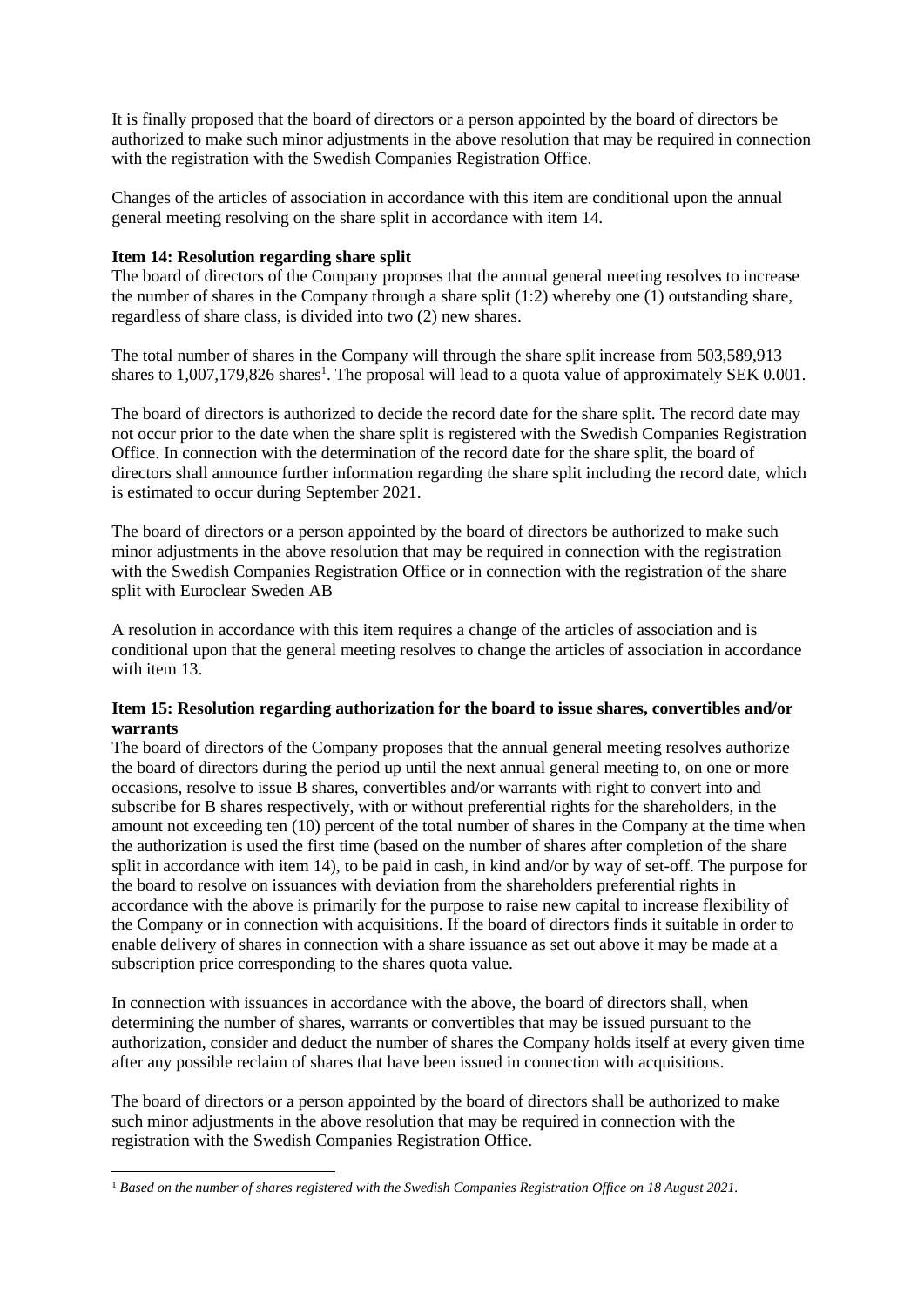It is finally proposed that the board of directors or a person appointed by the board of directors be authorized to make such minor adjustments in the above resolution that may be required in connection with the registration with the Swedish Companies Registration Office.

Changes of the articles of association in accordance with this item are conditional upon the annual general meeting resolving on the share split in accordance with ite[m 14.](#page-2-4)

## **Ite[m 14:](#page-2-4) Resolution regarding share split**

The board of directors of the Company proposes that the annual general meeting resolves to increase the number of shares in the Company through a share split (1:2) whereby one (1) outstanding share, regardless of share class, is divided into two (2) new shares.

The total number of shares in the Company will through the share split increase from 503,589,913 shares to 1,007,179,826 shares<sup>1</sup>. The proposal will lead to a quota value of approximately SEK 0.001.

The board of directors is authorized to decide the record date for the share split. The record date may not occur prior to the date when the share split is registered with the Swedish Companies Registration Office. In connection with the determination of the record date for the share split, the board of directors shall announce further information regarding the share split including the record date, which is estimated to occur during September 2021.

The board of directors or a person appointed by the board of directors be authorized to make such minor adjustments in the above resolution that may be required in connection with the registration with the Swedish Companies Registration Office or in connection with the registration of the share split with Euroclear Sweden AB

A resolution in accordance with this item requires a change of the articles of association and is conditional upon that the general meeting resolves to change the articles of association in accordance with item [13.](#page-2-3)

### **Ite[m 15:](#page-2-5) Resolution regarding authorization for the board to issue shares, convertibles and/or warrants**

The board of directors of the Company proposes that the annual general meeting resolves authorize the board of directors during the period up until the next annual general meeting to, on one or more occasions, resolve to issue B shares, convertibles and/or warrants with right to convert into and subscribe for B shares respectively, with or without preferential rights for the shareholders, in the amount not exceeding ten (10) percent of the total number of shares in the Company at the time when the authorization is used the first time (based on the number of shares after completion of the share split in accordance with item [14\)](#page-2-4), to be paid in cash, in kind and/or by way of set-off. The purpose for the board to resolve on issuances with deviation from the shareholders preferential rights in accordance with the above is primarily for the purpose to raise new capital to increase flexibility of the Company or in connection with acquisitions. If the board of directors finds it suitable in order to enable delivery of shares in connection with a share issuance as set out above it may be made at a subscription price corresponding to the shares quota value.

In connection with issuances in accordance with the above, the board of directors shall, when determining the number of shares, warrants or convertibles that may be issued pursuant to the authorization, consider and deduct the number of shares the Company holds itself at every given time after any possible reclaim of shares that have been issued in connection with acquisitions.

The board of directors or a person appointed by the board of directors shall be authorized to make such minor adjustments in the above resolution that may be required in connection with the registration with the Swedish Companies Registration Office.

<sup>1</sup> *Based on the number of shares registered with the Swedish Companies Registration Office on 18 August 2021.*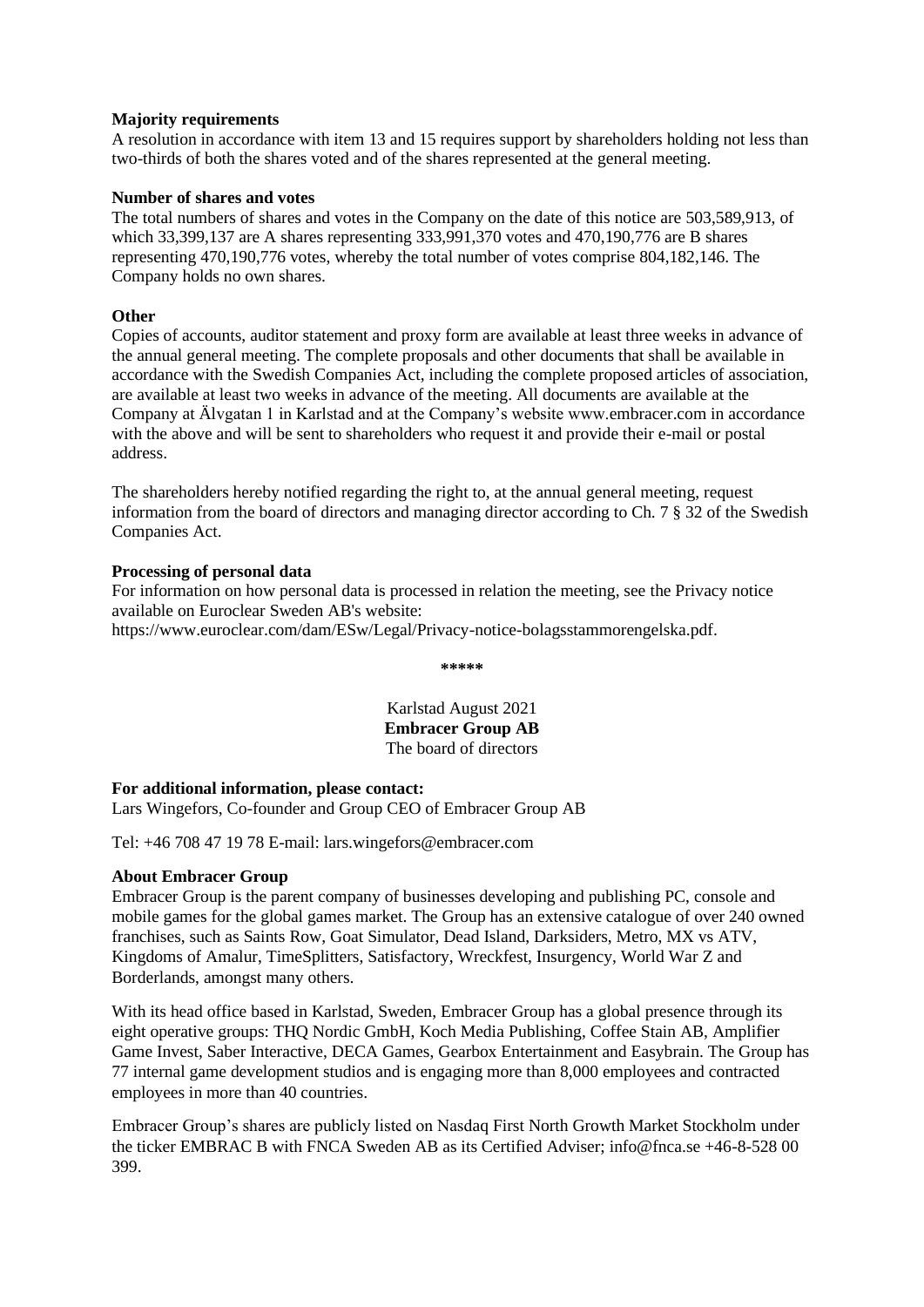### **Majority requirements**

A resolution in accordance with item [13](#page-2-3) and [15](#page-2-5) requires support by shareholders holding not less than two-thirds of both the shares voted and of the shares represented at the general meeting.

## **Number of shares and votes**

The total numbers of shares and votes in the Company on the date of this notice are 503,589,913, of which 33,399,137 are A shares representing 333,991,370 votes and 470,190,776 are B shares representing 470,190,776 votes, whereby the total number of votes comprise 804,182,146. The Company holds no own shares.

# **Other**

Copies of accounts, auditor statement and proxy form are available at least three weeks in advance of the annual general meeting. The complete proposals and other documents that shall be available in accordance with the Swedish Companies Act, including the complete proposed articles of association, are available at least two weeks in advance of the meeting. All documents are available at the Company at Älvgatan 1 in Karlstad and at the Company's website www.embracer.com in accordance with the above and will be sent to shareholders who request it and provide their e-mail or postal address.

The shareholders hereby notified regarding the right to, at the annual general meeting, request information from the board of directors and managing director according to Ch. 7 § 32 of the Swedish Companies Act.

### **Processing of personal data**

For information on how personal data is processed in relation the meeting, see the Privacy notice available on Euroclear Sweden AB's website:

https://www.euroclear.com/dam/ESw/Legal/Privacy-notice-bolagsstammorengelska.pdf.

**\*\*\*\*\***

Karlstad August 2021 **Embracer Group AB** The board of directors

### **For additional information, please contact:**

Lars Wingefors, Co-founder and Group CEO of Embracer Group AB

Tel: +46 708 47 19 78 E-mail: lars.wingefors@embracer.com

### **About Embracer Group**

Embracer Group is the parent company of businesses developing and publishing PC, console and mobile games for the global games market. The Group has an extensive catalogue of over 240 owned franchises, such as Saints Row, Goat Simulator, Dead Island, Darksiders, Metro, MX vs ATV, Kingdoms of Amalur, TimeSplitters, Satisfactory, Wreckfest, Insurgency, World War Z and Borderlands, amongst many others.

With its head office based in Karlstad, Sweden, Embracer Group has a global presence through its eight operative groups: THQ Nordic GmbH, Koch Media Publishing, Coffee Stain AB, Amplifier Game Invest, Saber Interactive, DECA Games, Gearbox Entertainment and Easybrain. The Group has 77 internal game development studios and is engaging more than 8,000 employees and contracted employees in more than 40 countries.

Embracer Group's shares are publicly listed on Nasdaq First North Growth Market Stockholm under the ticker EMBRAC B with FNCA Sweden AB as its Certified Adviser; info@fnca.se +46-8-528 00 399.